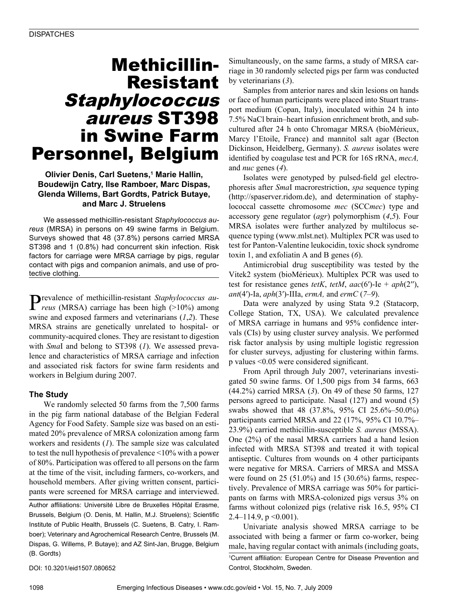# Methicillin-Resistant Staphylococcus aureus ST398 in Swine Farm Personnel, Belgium

### **Olivier Denis, Carl Suetens,1 Marie Hallin, Boudewijn Catry, Ilse Ramboer, Marc Dispas, Glenda Willems, Bart Gordts, Patrick Butaye, and Marc J. Struelens**

We assessed methicillin-resistant *Staphylococcus aureus* (MRSA) in persons on 49 swine farms in Belgium. Surveys showed that 48 (37.8%) persons carried MRSA ST398 and 1 (0.8%) had concurrent skin infection. Risk factors for carriage were MRSA carriage by pigs, regular contact with pigs and companion animals, and use of protective clothing.

Prevalence of methicillin-resistant *Staphylococcus au-reus* (MRSA) carriage has been high (>10%) among swine and exposed farmers and veterinarians (*1*,*2*). These MRSA strains are genetically unrelated to hospital- or community-acquired clones. They are resistant to digestion with *Sma*I and belong to ST398 (*1*). We assessed prevalence and characteristics of MRSA carriage and infection and associated risk factors for swine farm residents and workers in Belgium during 2007.

### **The Study**

We randomly selected 50 farms from the 7,500 farms in the pig farm national database of the Belgian Federal Agency for Food Safety. Sample size was based on an estimated 20% prevalence of MRSA colonization among farm workers and residents (*1*). The sample size was calculated to test the null hypothesis of prevalence <10% with a power of 80%. Participation was offered to all persons on the farm at the time of the visit, including farmers, co-workers, and household members. After giving written consent, participants were screened for MRSA carriage and interviewed.

Author affiliations: Université Libre de Bruxelles Hôpital Erasme, Brussels, Belgium (O. Denis, M. Hallin, M.J. Struelens); Scientific Institute of Public Health, Brussels (C. Suetens, B. Catry, I. Ramboer); Veterinary and Agrochemical Research Centre, Brussels (M. Dispas, G. Willems, P. Butaye); and AZ Sint-Jan, Brugge, Belgium (B. Gordts)

Simultaneously, on the same farms, a study of MRSA carriage in 30 randomly selected pigs per farm was conducted by veterinarians (*3*).

Samples from anterior nares and skin lesions on hands or face of human participants were placed into Stuart transport medium (Copan, Italy), inoculated within 24 h into 7.5% NaCl brain–heart infusion enrichment broth, and subcultured after 24 h onto Chromagar MRSA (bioMérieux, Marcy l'Etoile, France) and mannitol salt agar (Becton Dickinson, Heidelberg, Germany). *S. aureus* isolates were identified by coagulase test and PCR for 16S rRNA, *mecA,* and *nuc* genes (*4*).

Isolates were genotyped by pulsed-field gel electrophoresis after *Sma*I macrorestriction, *spa* sequence typing (http://spaserver.ridom.de), and determination of staphylococcal cassette chromosome *mec* (SCC*mec*) type and accessory gene regulator (*agr*) polymorphism (*4*,*5*). Four MRSA isolates were further analyzed by multilocus sequence typing (www.mlst.net). Multiplex PCR was used to test for Panton-Valentine leukocidin, toxic shock syndrome toxin 1, and exfoliatin A and B genes (*6*).

Antimicrobial drug susceptibility was tested by the Vitek2 system (bioMérieux). Multiplex PCR was used to test for resistance genes *tetK*, *tetM*, *aac*(6′)-Ie + *aph*(2′′), *ant*(4′)-Ia, *aph*(3′)-IIIa, *ermA,* and *ermC* (*7*–*9*).

Data were analyzed by using Stata 9.2 (Statacorp, College Station, TX, USA). We calculated prevalence of MRSA carriage in humans and 95% confidence intervals (CIs) by using cluster survey analysis. We performed risk factor analysis by using multiple logistic regression for cluster surveys, adjusting for clustering within farms. p values <0.05 were considered significant.

From April through July 2007, veterinarians investigated 50 swine farms. Of 1,500 pigs from 34 farms, 663 (44.2%) carried MRSA (*3*). On 49 of these 50 farms, 127 persons agreed to participate. Nasal (127) and wound (5) swabs showed that 48 (37.8%, 95% CI 25.6%–50.0%) participants carried MRSA and 22 (17%, 95% CI 10.7%– 23.9%) carried methicillin-susceptible *S. aureus* (MSSA). One (2%) of the nasal MRSA carriers had a hand lesion infected with MRSA ST398 and treated it with topical antiseptic. Cultures from wounds on 4 other participants were negative for MRSA. Carriers of MRSA and MSSA were found on 25 (51.0%) and 15 (30.6%) farms, respectively. Prevalence of MRSA carriage was 50% for participants on farms with MRSA-colonized pigs versus 3% on farms without colonized pigs (relative risk 16.5, 95% CI 2.4–114.9,  $p \le 0.001$ ).

Univariate analysis showed MRSA carriage to be associated with being a farmer or farm co-worker, being male, having regular contact with animals (including goats,

1 Current affiliation: European Centre for Disease Prevention and Control, Stockholm, Sweden.

DOI: 10.3201/eid1507.080652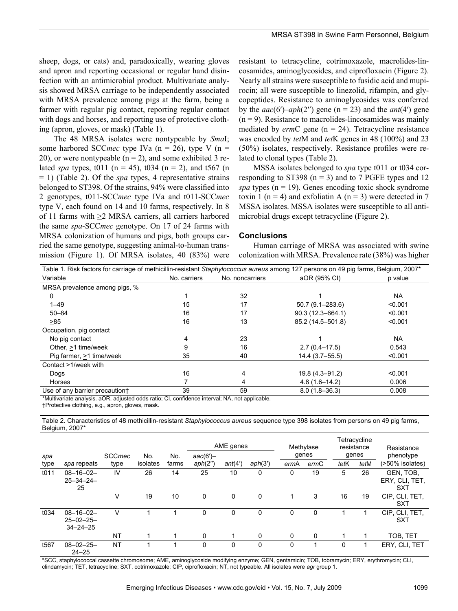sheep, dogs, or cats) and, paradoxically, wearing gloves and apron and reporting occasional or regular hand disinfection with an antimicrobial product. Multivariate analysis showed MRSA carriage to be independently associated with MRSA prevalence among pigs at the farm, being a farmer with regular pig contact, reporting regular contact with dogs and horses, and reporting use of protective clothing (apron, gloves, or mask) (Table 1).

The 48 MRSA isolates were nontypeable by *Sma*I; some harbored SCC*mec* type IVa (n = 26), type V (n = 20), or were nontypeable  $(n = 2)$ , and some exhibited 3 related *spa* types, t011 ( $n = 45$ ), t034 ( $n = 2$ ), and t567 ( $n = 1$ ) = 1) (Table 2). Of the *spa* types, 4 representative strains belonged to ST398. Of the strains, 94% were classified into 2 genotypes, t011-SCC*mec* type IVa and t011-SCC*mec* type V, each found on 14 and 10 farms, respectively. In 8 of 11 farms with >2 MRSA carriers, all carriers harbored the same *spa*-SCC*mec* genotype. On 17 of 24 farms with MRSA colonization of humans and pigs, both groups carried the same genotype, suggesting animal-to-human transmission (Figure 1). Of MRSA isolates, 40 (83%) were

resistant to tetracycline, cotrimoxazole, macrolides-lincosamides, aminoglycosides, and ciprofloxacin (Figure 2). Nearly all strains were susceptible to fusidic acid and mupirocin; all were susceptible to linezolid, rifampin, and glycopeptides. Resistance to aminoglycosides was conferred by the  $aac(6')-aph(2'')$  gene (n = 23) and the  $ant(4')$  gene  $(n = 9)$ . Resistance to macrolides-lincosamides was mainly mediated by *erm*C gene (n = 24). Tetracycline resistance was encoded by *tet*M and *tet*K genes in 48 (100%) and 23 (50%) isolates, respectively. Resistance profiles were related to clonal types (Table 2).

MSSA isolates belonged to *spa* type t011 or t034 corresponding to ST398 ( $n = 3$ ) and to 7 PGFE types and 12 *spa* types ( $n = 19$ ). Genes encoding toxic shock syndrome toxin 1 (n = 4) and exfoliatin A (n = 3) were detected in 7 MSSA isolates. MSSA isolates were susceptible to all antimicrobial drugs except tetracycline (Figure 2).

#### **Conclusions**

Human carriage of MRSA was associated with swine colonization with MRSA. Prevalence rate (38%) was higher

| Table 1. Risk factors for carriage of methicillin-resistant Staphylococcus aureus among 127 persons on 49 pig farms, Belgium, 2007* |              |                 |                      |           |  |  |  |  |
|-------------------------------------------------------------------------------------------------------------------------------------|--------------|-----------------|----------------------|-----------|--|--|--|--|
| Variable                                                                                                                            | No. carriers | No. noncarriers | aOR (95% CI)         | p value   |  |  |  |  |
| MRSA prevalence among pigs, %                                                                                                       |              |                 |                      |           |  |  |  |  |
| 0                                                                                                                                   |              | 32              |                      | <b>NA</b> |  |  |  |  |
| $1 - 49$                                                                                                                            | 15           | 17              | $50.7(9.1 - 283.6)$  | < 0.001   |  |  |  |  |
| $50 - 84$                                                                                                                           | 16           | 17              | $90.3(12.3 - 664.1)$ | < 0.001   |  |  |  |  |
| >85                                                                                                                                 | 16           | 13              | 85.2 (14.5-501.8)    | < 0.001   |  |  |  |  |
| Occupation, pig contact                                                                                                             |              |                 |                      |           |  |  |  |  |
| No pig contact                                                                                                                      |              | 23              |                      | <b>NA</b> |  |  |  |  |
| Other, >1 time/week                                                                                                                 | 9            | 16              | $2.7(0.4 - 17.5)$    | 0.543     |  |  |  |  |
| Pig farmer, >1 time/week                                                                                                            | 35           | 40              | $14.4(3.7 - 55.5)$   | < 0.001   |  |  |  |  |
| Contact >1/week with                                                                                                                |              |                 |                      |           |  |  |  |  |
| Dogs                                                                                                                                | 16           | 4               | 19.8 (4.3-91.2)      | < 0.001   |  |  |  |  |
| Horses                                                                                                                              |              | 4               | $4.8(1.6 - 14.2)$    | 0.006     |  |  |  |  |
| Use of any barrier precaution+                                                                                                      | 39           | 59              | $8.0(1.8 - 36.3)$    | 0.008     |  |  |  |  |

\*Multivariate analysis. aOR, adjusted odds ratio; CI, confidence interval; NA, not applicable.

†Protective clothing, e.g., apron, gloves, mask.

Table 2. Characteristics of 48 methicillin-resistant *Staphylococcus aureus* sequence type 398 isolates from persons on 49 pig farms, Belgium, 2007\*

|      |                                                        |               |          |       | AME genes  |             | Methylase |       | Tetracycline<br>resistance |       | Resistance |                                           |
|------|--------------------------------------------------------|---------------|----------|-------|------------|-------------|-----------|-------|----------------------------|-------|------------|-------------------------------------------|
| spa  |                                                        | <b>SCCmec</b> | No.      | No.   | $aac(6')-$ |             |           | genes |                            | genes |            | phenotype                                 |
| type | spa repeats                                            | type          | isolates | farms | aph(2")    | ant(4')     | aph(3')   | ermA  | ermC                       | tetK  | tetM       | (>50% isolates)                           |
| t011 | $08 - 16 - 02 -$<br>$25 - 34 - 24 -$<br>25             | IV            | 26       | 14    | 25         | 10          | 0         | 0     | 19                         | 5     | 26         | GEN, TOB,<br>ERY. CLI. TET.<br><b>SXT</b> |
|      |                                                        | v             | 19       | 10    | 0          | $\mathbf 0$ | 0         | 1     | 3                          | 16    | 19         | CIP, CLI, TET,<br><b>SXT</b>              |
| t034 | $08 - 16 - 02 -$<br>$25 - 02 - 25 -$<br>$34 - 24 - 25$ | v             |          |       | 0          | 0           | 0         | 0     | 0                          |       |            | CIP, CLI, TET,<br><b>SXT</b>              |
|      |                                                        | <b>NT</b>     |          |       | 0          | 1           | 0         | 0     | $\mathbf{0}$               |       |            | TOB, TET                                  |
| t567 | $08 - 02 - 25 -$<br>$24 - 25$                          | <b>NT</b>     |          |       | 0          | $\Omega$    | 0         | 0     |                            | 0     |            | ERY, CLI, TET                             |

\*SCC, staphylococcal cassette chromosome; AME, aminoglycoside modifying enzyme; GEN, gentamicin; TOB, tobramycin; ERY, erythromycin; CLI, clindamycin; TET, tetracycline; SXT, cotrimoxazole; CIP, ciprofloxacin; NT, not typeable. All isolates were *agr* group 1.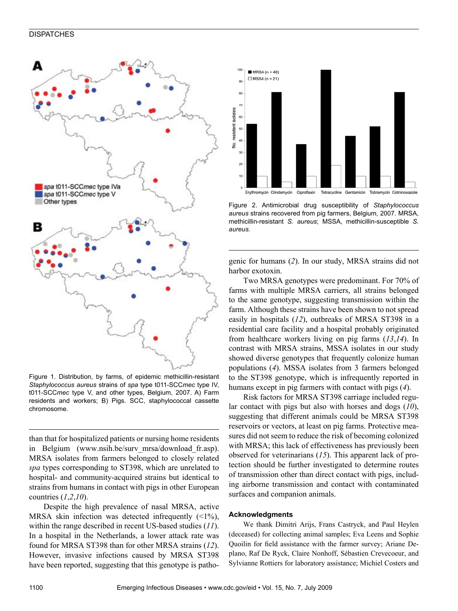#### **DISPATCHES**



Figure 1. Distribution, by farms, of epidemic methicillin-resistant *Staphylococcus aureus* strains of *spa* type t011-SCC*mec* type IV, t011-SCC*mec* type V, and other types, Belgium, 2007. A) Farm residents and workers; B) Pigs. SCC, staphylococcal cassette chromosome.

than that for hospitalized patients or nursing home residents in Belgium (www.nsih.be/surv\_mrsa/download\_fr.asp). MRSA isolates from farmers belonged to closely related *spa* types corresponding to ST398, which are unrelated to hospital- and community-acquired strains but identical to strains from humans in contact with pigs in other European countries (*1*,*2*,*10*).

Despite the high prevalence of nasal MRSA, active MRSA skin infection was detected infrequently  $(\leq 1\%)$ , within the range described in recent US-based studies (*11*). In a hospital in the Netherlands, a lower attack rate was found for MRSA ST398 than for other MRSA strains (*12*). However, invasive infections caused by MRSA ST398 have been reported, suggesting that this genotype is patho-



Figure 2. Antimicrobial drug susceptibility of *Staphylococcus aureus* strains recovered from pig farmers, Belgium, 2007. MRSA, methicillin-resistant *S. aureus*; MSSA, methicillin-susceptible *S. aureus.*

genic for humans (*2*). In our study, MRSA strains did not harbor exotoxin.

Two MRSA genotypes were predominant. For 70% of farms with multiple MRSA carriers, all strains belonged to the same genotype, suggesting transmission within the farm. Although these strains have been shown to not spread easily in hospitals (*12*), outbreaks of MRSA ST398 in a residential care facility and a hospital probably originated from healthcare workers living on pig farms (*13*,*14*). In contrast with MRSA strains, MSSA isolates in our study showed diverse genotypes that frequently colonize human populations (*4*). MSSA isolates from 3 farmers belonged to the ST398 genotype, which is infrequently reported in humans except in pig farmers with contact with pigs (*4*).

Risk factors for MRSA ST398 carriage included regular contact with pigs but also with horses and dogs (*10*), suggesting that different animals could be MRSA ST398 reservoirs or vectors, at least on pig farms. Protective measures did not seem to reduce the risk of becoming colonized with MRSA; this lack of effectiveness has previously been observed for veterinarians (*15*). This apparent lack of protection should be further investigated to determine routes of transmission other than direct contact with pigs, including airborne transmission and contact with contaminated surfaces and companion animals.

#### **Acknowledgments**

We thank Dimitri Arijs, Frans Castryck, and Paul Heylen (deceased) for collecting animal samples; Eva Leens and Sophie Quoilin for field assistance with the farmer survey; Ariane Deplano, Raf De Ryck, Claire Nonhoff, Sébastien Crevecoeur, and Sylvianne Rottiers for laboratory assistance; Michiel Costers and